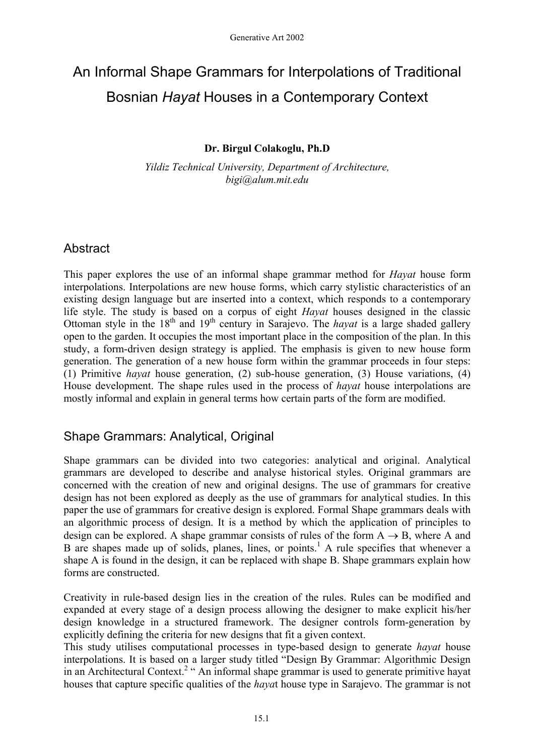# An Informal Shape Grammars for Interpolations of Traditional Bosnian *Hayat* Houses in a Contemporary Context

## **Dr. Birgul Colakoglu, Ph.D**

*Yildiz Technical University, Department of Architecture, bigi@alum.mit.edu* 

# **Abstract**

This paper explores the use of an informal shape grammar method for *Hayat* house form interpolations. Interpolations are new house forms, which carry stylistic characteristics of an existing design language but are inserted into a context, which responds to a contemporary life style. The study is based on a corpus of eight *Hayat* houses designed in the classic Ottoman style in the  $18<sup>th</sup>$  and  $19<sup>th</sup>$  century in Sarajevo. The *hayat* is a large shaded gallery open to the garden. It occupies the most important place in the composition of the plan. In this study, a form-driven design strategy is applied. The emphasis is given to new house form generation. The generation of a new house form within the grammar proceeds in four steps: (1) Primitive *hayat* house generation, (2) sub-house generation, (3) House variations, (4) House development. The shape rules used in the process of *hayat* house interpolations are mostly informal and explain in general terms how certain parts of the form are modified.

# Shape Grammars: Analytical, Original

Shape grammars can be divided into two categories: analytical and original. Analytical grammars are developed to describe and analyse historical styles. Original grammars are concerned with the creation of new and original designs. The use of grammars for creative design has not been explored as deeply as the use of grammars for analytical studies. In this paper the use of grammars for creative design is explored. Formal Shape grammars deals with an algorithmic process of design. It is a method by which the application of principles to design can be explored. A shape grammar consists of rules of the form  $A \rightarrow B$ , where A and B are shapes made up of solids, planes, lines, or points.<sup>1</sup> A rule specifies that whenever a shape A is found in the design, it can be replaced with shape B. Shape grammars explain how forms are constructed.

Creativity in rule-based design lies in the creation of the rules. Rules can be modified and expanded at every stage of a design process allowing the designer to make explicit his/her design knowledge in a structured framework. The designer controls form-generation by explicitly defining the criteria for new designs that fit a given context.

This study utilises computational processes in type-based design to generate *hayat* house interpolations. It is based on a larger study titled "Design By Grammar: Algorithmic Design in an Architectural Context.<sup>2</sup> " An informal shape grammar is used to generate primitive hayat houses that capture specific qualities of the *haya*t house type in Sarajevo. The grammar is not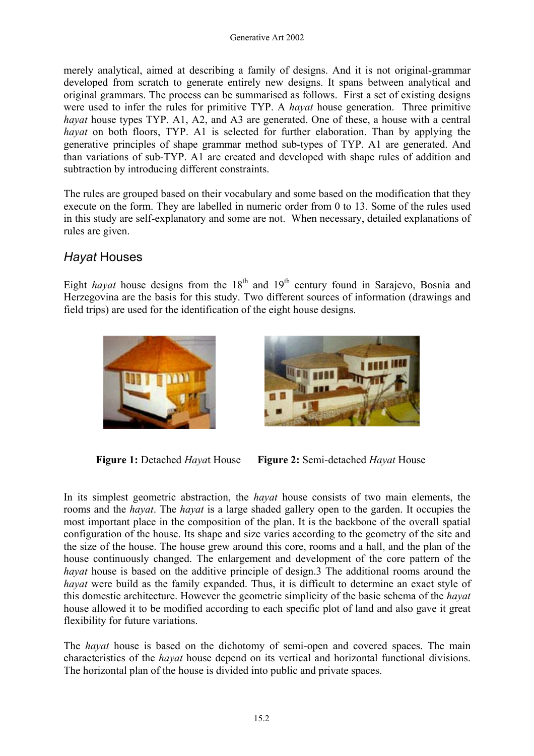merely analytical, aimed at describing a family of designs. And it is not original-grammar developed from scratch to generate entirely new designs. It spans between analytical and original grammars. The process can be summarised as follows. First a set of existing designs were used to infer the rules for primitive TYP. A *hayat* house generation. Three primitive *hayat* house types TYP. A1, A2, and A3 are generated. One of these, a house with a central *hayat* on both floors, TYP. A1 is selected for further elaboration. Than by applying the generative principles of shape grammar method sub-types of TYP. A1 are generated. And than variations of sub-TYP. A1 are created and developed with shape rules of addition and subtraction by introducing different constraints.

The rules are grouped based on their vocabulary and some based on the modification that they execute on the form. They are labelled in numeric order from 0 to 13. Some of the rules used in this study are self-explanatory and some are not. When necessary, detailed explanations of rules are given.

# *Hayat* Houses

Eight *hayat* house designs from the 18<sup>th</sup> and 19<sup>th</sup> century found in Sarajevo, Bosnia and Herzegovina are the basis for this study. Two different sources of information (drawings and field trips) are used for the identification of the eight house designs.





**Figure 1:** Detached *Haya*t House **Figure 2:** Semi-detached *Hayat* House

In its simplest geometric abstraction, the *hayat* house consists of two main elements, the rooms and the *hayat*. The *hayat* is a large shaded gallery open to the garden. It occupies the most important place in the composition of the plan. It is the backbone of the overall spatial configuration of the house. Its shape and size varies according to the geometry of the site and the size of the house. The house grew around this core, rooms and a hall, and the plan of the house continuously changed. The enlargement and development of the core pattern of the *hayat* house is based on the additive principle of design.3 The additional rooms around the *hayat* were build as the family expanded. Thus, it is difficult to determine an exact style of this domestic architecture. However the geometric simplicity of the basic schema of the *hayat* house allowed it to be modified according to each specific plot of land and also gave it great flexibility for future variations.

The *hayat* house is based on the dichotomy of semi-open and covered spaces. The main characteristics of the *hayat* house depend on its vertical and horizontal functional divisions. The horizontal plan of the house is divided into public and private spaces.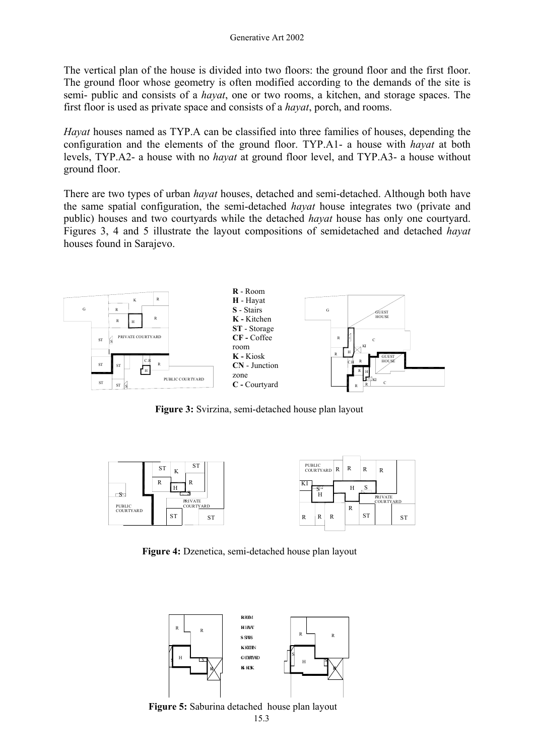The vertical plan of the house is divided into two floors: the ground floor and the first floor. The ground floor whose geometry is often modified according to the demands of the site is semi- public and consists of a *hayat*, one or two rooms, a kitchen, and storage spaces. The first floor is used as private space and consists of a *hayat*, porch, and rooms.

*Hayat* houses named as TYP.A can be classified into three families of houses, depending the configuration and the elements of the ground floor. TYP.A1- a house with *hayat* at both levels, TYP.A2- a house with no *hayat* at ground floor level, and TYP.A3- a house without ground floor.

There are two types of urban *hayat* houses, detached and semi-detached. Although both have the same spatial configuration, the semi-detached *hayat* house integrates two (private and public) houses and two courtyards while the detached *hayat* house has only one courtyard. Figures 3, 4 and 5 illustrate the layout compositions of semidetached and detached *hayat* houses found in Sarajevo.



**Figure 3:** Svirzina, semi-detached house plan layout



**Figure 4:** Dzenetica, semi-detached house plan layout



 15. 3 **Figure 5:** Saburina detached house plan layout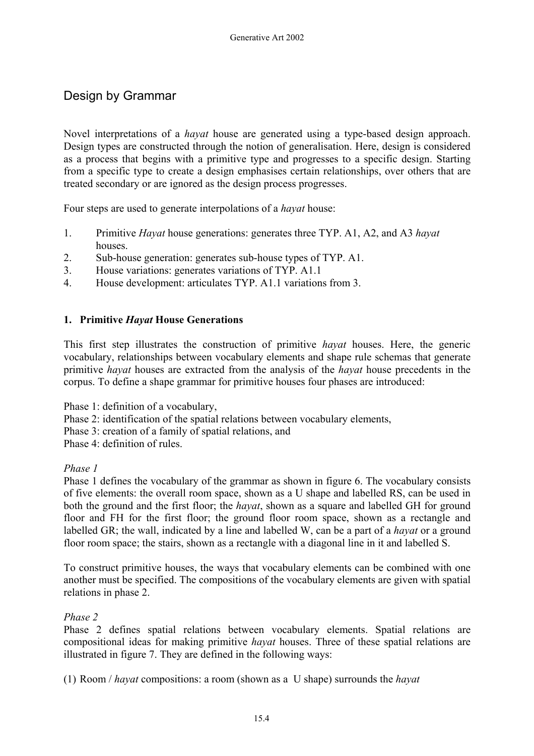# Design by Grammar

Novel interpretations of a *hayat* house are generated using a type-based design approach. Design types are constructed through the notion of generalisation. Here, design is considered as a process that begins with a primitive type and progresses to a specific design. Starting from a specific type to create a design emphasises certain relationships, over others that are treated secondary or are ignored as the design process progresses.

Four steps are used to generate interpolations of a *hayat* house:

- 1. Primitive *Hayat* house generations: generates three TYP. A1, A2, and A3 *hayat* **houses**
- 2. Sub-house generation: generates sub-house types of TYP. A1.
- 3. House variations: generates variations of TYP. A1.1
- 4. House development: articulates TYP. A1.1 variations from 3.

#### **1. Primitive** *Hayat* **House Generations**

This first step illustrates the construction of primitive *hayat* houses. Here, the generic vocabulary, relationships between vocabulary elements and shape rule schemas that generate primitive *hayat* houses are extracted from the analysis of the *hayat* house precedents in the corpus. To define a shape grammar for primitive houses four phases are introduced:

Phase 1: definition of a vocabulary,

- Phase 2: identification of the spatial relations between vocabulary elements,
- Phase 3: creation of a family of spatial relations, and
- Phase 4: definition of rules.

#### *Phase 1*

Phase 1 defines the vocabulary of the grammar as shown in figure 6. The vocabulary consists of five elements: the overall room space, shown as a U shape and labelled RS, can be used in both the ground and the first floor; the *hayat*, shown as a square and labelled GH for ground floor and FH for the first floor; the ground floor room space, shown as a rectangle and labelled GR; the wall, indicated by a line and labelled W, can be a part of a *hayat* or a ground floor room space; the stairs, shown as a rectangle with a diagonal line in it and labelled S.

To construct primitive houses, the ways that vocabulary elements can be combined with one another must be specified. The compositions of the vocabulary elements are given with spatial relations in phase 2.

#### *Phase 2*

Phase 2 defines spatial relations between vocabulary elements. Spatial relations are compositional ideas for making primitive *hayat* houses. Three of these spatial relations are illustrated in figure 7. They are defined in the following ways:

(1) Room / *hayat* compositions: a room (shown as a U shape) surrounds the *hayat*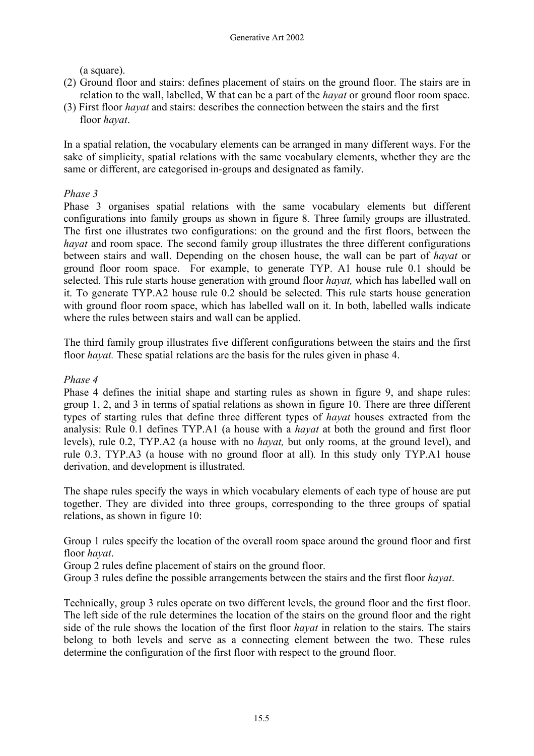(a square).

- (2) Ground floor and stairs: defines placement of stairs on the ground floor. The stairs are in relation to the wall, labelled, W that can be a part of the *hayat* or ground floor room space.
- (3) First floor *hayat* and stairs: describes the connection between the stairs and the first floor *hayat*.

In a spatial relation, the vocabulary elements can be arranged in many different ways. For the sake of simplicity, spatial relations with the same vocabulary elements, whether they are the same or different, are categorised in-groups and designated as family.

## *Phase 3*

Phase 3 organises spatial relations with the same vocabulary elements but different configurations into family groups as shown in figure 8. Three family groups are illustrated. The first one illustrates two configurations: on the ground and the first floors, between the *havat* and room space. The second family group illustrates the three different configurations between stairs and wall. Depending on the chosen house, the wall can be part of *hayat* or ground floor room space. For example, to generate TYP. A1 house rule 0.1 should be selected. This rule starts house generation with ground floor *hayat,* which has labelled wall on it. To generate TYP.A2 house rule 0.2 should be selected. This rule starts house generation with ground floor room space, which has labelled wall on it. In both, labelled walls indicate where the rules between stairs and wall can be applied.

The third family group illustrates five different configurations between the stairs and the first floor *hayat*. These spatial relations are the basis for the rules given in phase 4.

## *Phase 4*

Phase 4 defines the initial shape and starting rules as shown in figure 9, and shape rules: group 1, 2, and 3 in terms of spatial relations as shown in figure 10. There are three different types of starting rules that define three different types of *hayat* houses extracted from the analysis: Rule 0.1 defines TYP.A1 (a house with a *hayat* at both the ground and first floor levels), rule 0.2, TYP.A2 (a house with no *hayat,* but only rooms, at the ground level), and rule 0.3, TYP.A3 (a house with no ground floor at all)*.* In this study only TYP.A1 house derivation, and development is illustrated.

The shape rules specify the ways in which vocabulary elements of each type of house are put together. They are divided into three groups, corresponding to the three groups of spatial relations, as shown in figure 10:

Group 1 rules specify the location of the overall room space around the ground floor and first floor *hayat*.

Group 2 rules define placement of stairs on the ground floor.

Group 3 rules define the possible arrangements between the stairs and the first floor *hayat*.

Technically, group 3 rules operate on two different levels, the ground floor and the first floor. The left side of the rule determines the location of the stairs on the ground floor and the right side of the rule shows the location of the first floor *hayat* in relation to the stairs. The stairs belong to both levels and serve as a connecting element between the two. These rules determine the configuration of the first floor with respect to the ground floor.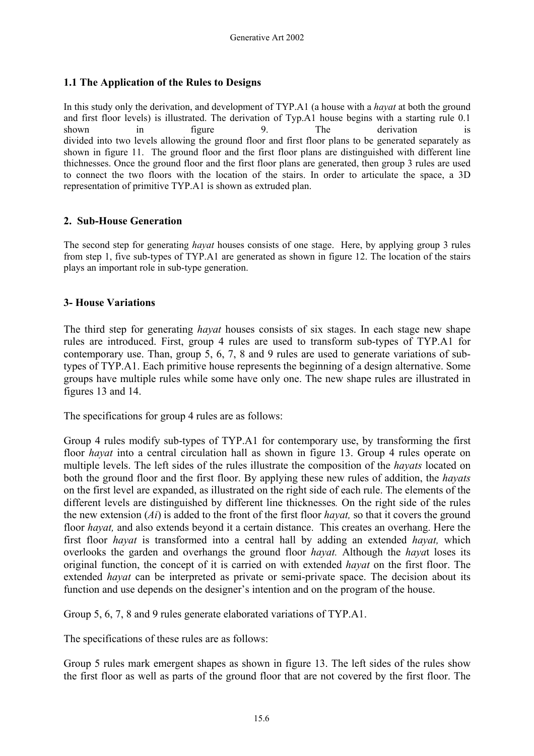### **1.1 The Application of the Rules to Designs**

In this study only the derivation, and development of TYP.A1 (a house with a *hayat* at both the ground and first floor levels) is illustrated. The derivation of Typ.A1 house begins with a starting rule 0.1 shown in figure 9. The derivation is divided into two levels allowing the ground floor and first floor plans to be generated separately as shown in figure 11. The ground floor and the first floor plans are distinguished with different line thichnesses. Once the ground floor and the first floor plans are generated, then group 3 rules are used to connect the two floors with the location of the stairs. In order to articulate the space, a 3D representation of primitive TYP.A1 is shown as extruded plan.

#### **2. Sub-House Generation**

The second step for generating *hayat* houses consists of one stage. Here, by applying group 3 rules from step 1, five sub-types of TYP.A1 are generated as shown in figure 12. The location of the stairs plays an important role in sub-type generation.

#### **3- House Variations**

The third step for generating *hayat* houses consists of six stages. In each stage new shape rules are introduced. First, group 4 rules are used to transform sub-types of TYP.A1 for contemporary use. Than, group 5, 6, 7, 8 and 9 rules are used to generate variations of subtypes of TYP.A1. Each primitive house represents the beginning of a design alternative. Some groups have multiple rules while some have only one. The new shape rules are illustrated in figures 13 and 14.

The specifications for group 4 rules are as follows:

Group 4 rules modify sub-types of TYP.A1 for contemporary use, by transforming the first floor *hayat* into a central circulation hall as shown in figure 13. Group 4 rules operate on multiple levels. The left sides of the rules illustrate the composition of the *hayats* located on both the ground floor and the first floor. By applying these new rules of addition, the *hayats* on the first level are expanded, as illustrated on the right side of each rule. The elements of the different levels are distinguished by different line thicknesses*.* On the right side of the rules the new extension (*Ai*) is added to the front of the first floor *hayat,* so that it covers the ground floor *hayat,* and also extends beyond it a certain distance. This creates an overhang. Here the first floor *hayat* is transformed into a central hall by adding an extended *hayat,* which overlooks the garden and overhangs the ground floor *hayat.* Although the *haya*t loses its original function, the concept of it is carried on with extended *hayat* on the first floor. The extended *hayat* can be interpreted as private or semi-private space. The decision about its function and use depends on the designer's intention and on the program of the house.

Group 5, 6, 7, 8 and 9 rules generate elaborated variations of TYP.A1.

The specifications of these rules are as follows:

Group 5 rules mark emergent shapes as shown in figure 13. The left sides of the rules show the first floor as well as parts of the ground floor that are not covered by the first floor. The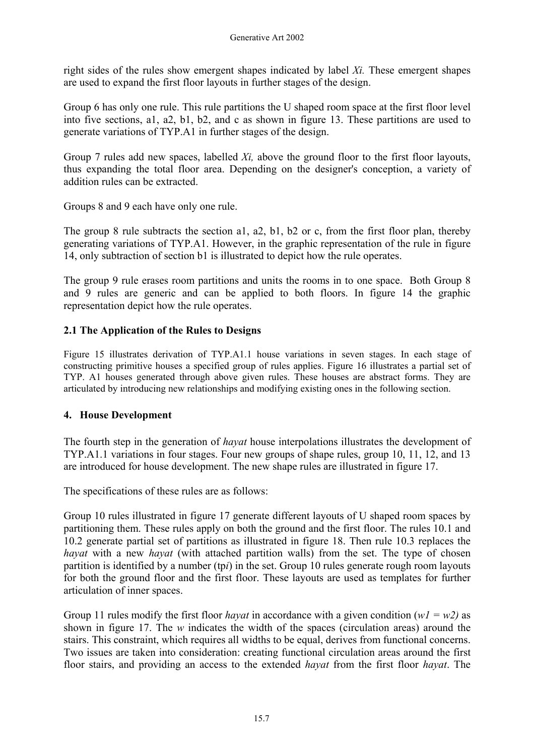right sides of the rules show emergent shapes indicated by label *Xi.* These emergent shapes are used to expand the first floor layouts in further stages of the design.

Group 6 has only one rule. This rule partitions the U shaped room space at the first floor level into five sections, a1, a2, b1, b2, and c as shown in figure 13. These partitions are used to generate variations of TYP.A1 in further stages of the design.

Group 7 rules add new spaces, labelled *Xi,* above the ground floor to the first floor layouts, thus expanding the total floor area. Depending on the designer's conception, a variety of addition rules can be extracted.

Groups 8 and 9 each have only one rule.

The group 8 rule subtracts the section a1, a2, b1, b2 or c, from the first floor plan, thereby generating variations of TYP.A1. However, in the graphic representation of the rule in figure 14, only subtraction of section b1 is illustrated to depict how the rule operates.

The group 9 rule erases room partitions and units the rooms in to one space. Both Group 8 and 9 rules are generic and can be applied to both floors. In figure 14 the graphic representation depict how the rule operates.

## **2.1 The Application of the Rules to Designs**

Figure 15 illustrates derivation of TYP.A1.1 house variations in seven stages. In each stage of constructing primitive houses a specified group of rules applies. Figure 16 illustrates a partial set of TYP. A1 houses generated through above given rules. These houses are abstract forms. They are articulated by introducing new relationships and modifying existing ones in the following section.

## **4. House Development**

The fourth step in the generation of *hayat* house interpolations illustrates the development of TYP.A1.1 variations in four stages. Four new groups of shape rules, group 10, 11, 12, and 13 are introduced for house development. The new shape rules are illustrated in figure 17.

The specifications of these rules are as follows:

Group 10 rules illustrated in figure 17 generate different layouts of U shaped room spaces by partitioning them. These rules apply on both the ground and the first floor. The rules 10.1 and 10.2 generate partial set of partitions as illustrated in figure 18. Then rule 10.3 replaces the *hayat* with a new *hayat* (with attached partition walls) from the set. The type of chosen partition is identified by a number (tp*i*) in the set. Group 10 rules generate rough room layouts for both the ground floor and the first floor. These layouts are used as templates for further articulation of inner spaces.

Group 11 rules modify the first floor *hayat* in accordance with a given condition  $(wI = w2)$  as shown in figure 17. The *w* indicates the width of the spaces (circulation areas) around the stairs. This constraint, which requires all widths to be equal, derives from functional concerns. Two issues are taken into consideration: creating functional circulation areas around the first floor stairs, and providing an access to the extended *hayat* from the first floor *hayat*. The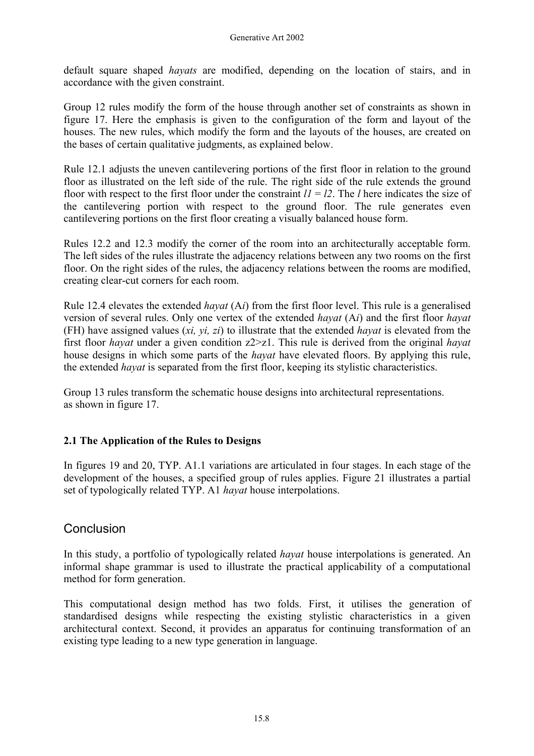default square shaped *hayats* are modified, depending on the location of stairs, and in accordance with the given constraint.

Group 12 rules modify the form of the house through another set of constraints as shown in figure 17. Here the emphasis is given to the configuration of the form and layout of the houses. The new rules, which modify the form and the layouts of the houses, are created on the bases of certain qualitative judgments, as explained below.

Rule 12.1 adjusts the uneven cantilevering portions of the first floor in relation to the ground floor as illustrated on the left side of the rule. The right side of the rule extends the ground floor with respect to the first floor under the constraint  $l = l/2$ . The *l* here indicates the size of the cantilevering portion with respect to the ground floor. The rule generates even cantilevering portions on the first floor creating a visually balanced house form.

Rules 12.2 and 12.3 modify the corner of the room into an architecturally acceptable form. The left sides of the rules illustrate the adjacency relations between any two rooms on the first floor. On the right sides of the rules, the adjacency relations between the rooms are modified, creating clear-cut corners for each room.

Rule 12.4 elevates the extended *hayat* (A*i*) from the first floor level. This rule is a generalised version of several rules. Only one vertex of the extended *hayat* (A*i*) and the first floor *hayat*  (FH) have assigned values (*xi, yi, zi*) to illustrate that the extended *hayat* is elevated from the first floor *hayat* under a given condition z2>z1. This rule is derived from the original *hayat* house designs in which some parts of the *hayat* have elevated floors. By applying this rule, the extended *hayat* is separated from the first floor, keeping its stylistic characteristics.

Group 13 rules transform the schematic house designs into architectural representations. as shown in figure 17.

## **2.1 The Application of the Rules to Designs**

In figures 19 and 20, TYP. A1.1 variations are articulated in four stages. In each stage of the development of the houses, a specified group of rules applies. Figure 21 illustrates a partial set of typologically related TYP. A1 *hayat* house interpolations.

# **Conclusion**

In this study, a portfolio of typologically related *hayat* house interpolations is generated. An informal shape grammar is used to illustrate the practical applicability of a computational method for form generation.

This computational design method has two folds. First, it utilises the generation of standardised designs while respecting the existing stylistic characteristics in a given architectural context. Second, it provides an apparatus for continuing transformation of an existing type leading to a new type generation in language.